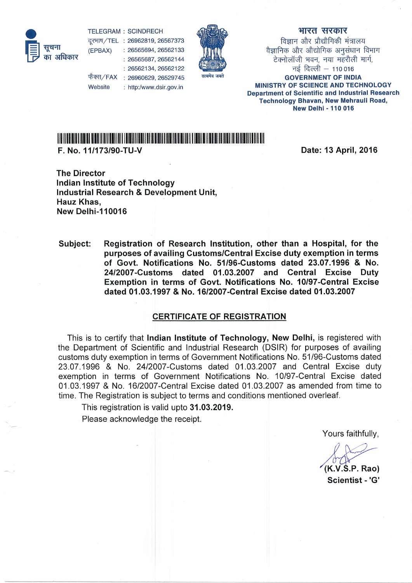

TELEGRAM : SCINDRECH दूरभाष/TEL : 26962819, 26567373<br>**सूचना <sub>(EPBAX)</sub> : 2**6565694, 26562133 फैक्स/FAX : 26960629, 26529745 26565694, 26562133 26565687, 26562144 26562134, 26562122



## भारत सरकार

विज्ञान और प्रौद्यौगिकी मंत्रालय वैज्ञानिक और औद्योगिक अनुसंधान विभाग<br>- टेक्नोलॉजी भवन. नया महरौली मार्ग. नई दिल्ली -- 110016 GOVERNMENT OF INDIA MINISTRY OF SCIENCE AND TECHNOLOGY Department of Scientific and Industrial Research Technology Bhavan, New Mehrauli Road, New Delhi - 110 016

## lliltll1ilfi |llffi tffi il||ll|ililil ilili1iitiill|if HI]ill| ii|tiiill|i|llllillllllllll lll

http:/www.dsir. gov. in

F. No. 111173190-TU-V

**Website** 

Date: 13 April, 2016

The Director Indian Institute of Technology Industrial Research & Development Unit, Hauz Khas, New Delhi-110016

Subject: Registration of Research Institution, other than a Hospital, for the purposes of availing Customs/Central Excise duty exemption in terms of Govt. Notifications No. 51/96-Customs dated 23.07.1996 & No. 2412007-Customs dated 01.03.2007 and Gentral Excise Duty Exemption in terms of Govt. Notifications No. 10/97-Gentral Excise dated 01.03.1997 & No. 16/2007-Central Excise dated 01.03.2007

## CERTIFICATE OF REGISTRATION

This is to certify that Indian Institute of Technology, New Delhi, is registered with the Department of Scientific and lndustrial Research (DSIR) for purposes of availing customs duty exemption in terms of Government Notifications No. 51/96-Customs dated 23.07.1996 & No. 2412007-Customs dated 01.03.2007 and Central Excise duty exemption in terms of Government Notifications No, 10/97-Central Excise dated 01.03.1997 & No. 16/2007-Central Excise dated 01.03.2007 as amended from time to time. The Registration is subject to terms and conditions mentioned overleaf.

This registration is valid upto 31.03.2019.

Please acknowledge the receipt.

Yours faithfully,

 $(K.V.S.P. Rao)$ Scientist -'G'